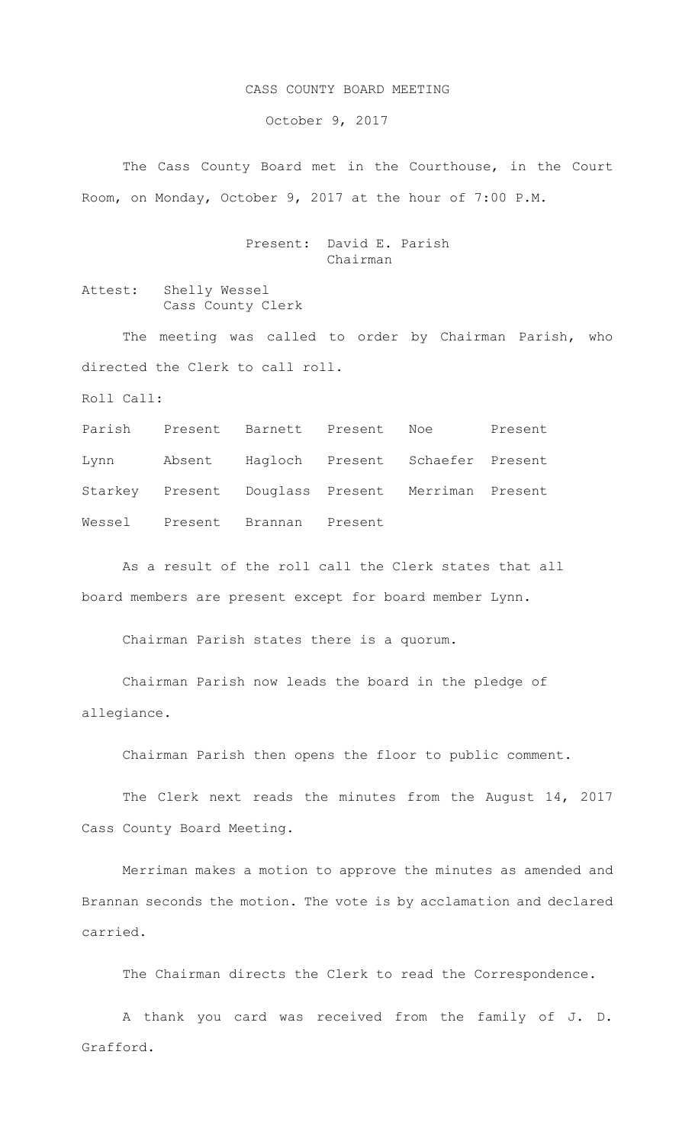## CASS COUNTY BOARD MEETING

October 9, 2017

The Cass County Board met in the Courthouse, in the Court Room, on Monday, October 9, 2017 at the hour of 7:00 P.M.

## Present: David E. Parish Chairman

Attest: Shelly Wessel Cass County Clerk

The meeting was called to order by Chairman Parish, who directed the Clerk to call roll.

Roll Call:

Parish Present Barnett Present Noe Present Lynn Absent Hagloch Present Schaefer Present Starkey Present Douglass Present Merriman Present Wessel Present Brannan Present

As a result of the roll call the Clerk states that all board members are present except for board member Lynn.

Chairman Parish states there is a quorum.

Chairman Parish now leads the board in the pledge of allegiance.

Chairman Parish then opens the floor to public comment.

The Clerk next reads the minutes from the August 14, 2017 Cass County Board Meeting.

Merriman makes a motion to approve the minutes as amended and Brannan seconds the motion. The vote is by acclamation and declared carried.

The Chairman directs the Clerk to read the Correspondence.

A thank you card was received from the family of J. D. Grafford.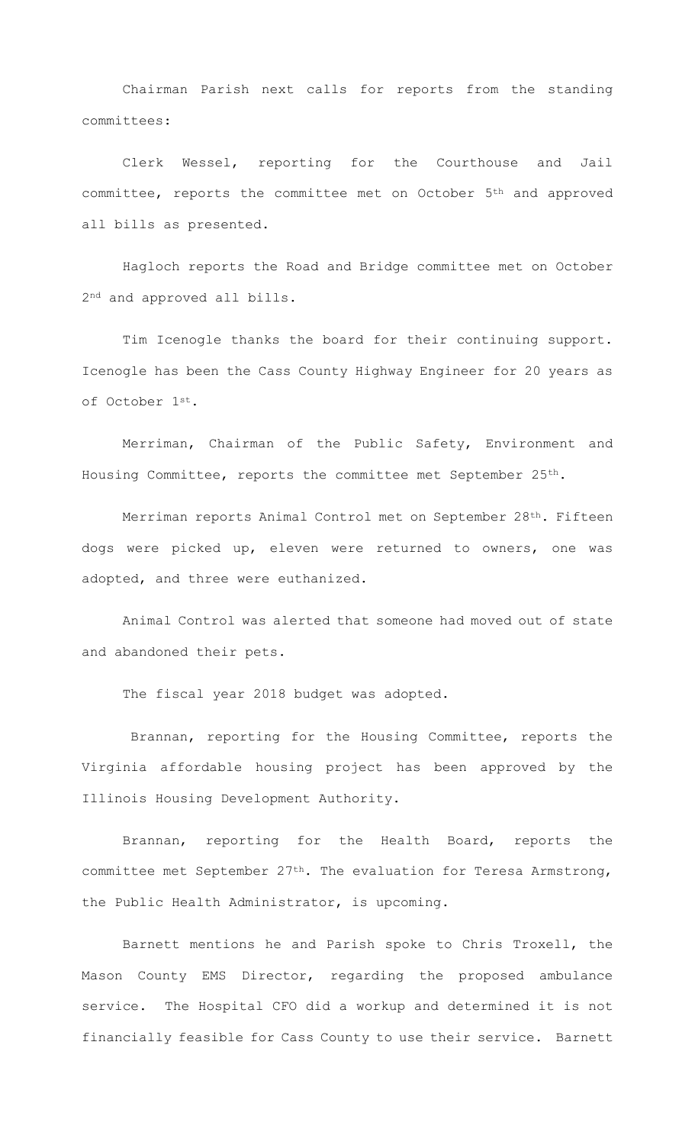Chairman Parish next calls for reports from the standing committees:

Clerk Wessel, reporting for the Courthouse and Jail committee, reports the committee met on October 5th and approved all bills as presented.

Hagloch reports the Road and Bridge committee met on October 2nd and approved all bills.

Tim Icenogle thanks the board for their continuing support. Icenogle has been the Cass County Highway Engineer for 20 years as of October 1st.

Merriman, Chairman of the Public Safety, Environment and Housing Committee, reports the committee met September 25th.

Merriman reports Animal Control met on September 28<sup>th</sup>. Fifteen dogs were picked up, eleven were returned to owners, one was adopted, and three were euthanized.

Animal Control was alerted that someone had moved out of state and abandoned their pets.

The fiscal year 2018 budget was adopted.

Brannan, reporting for the Housing Committee, reports the Virginia affordable housing project has been approved by the Illinois Housing Development Authority.

Brannan, reporting for the Health Board, reports the committee met September 27th. The evaluation for Teresa Armstrong, the Public Health Administrator, is upcoming.

Barnett mentions he and Parish spoke to Chris Troxell, the Mason County EMS Director, regarding the proposed ambulance service. The Hospital CFO did a workup and determined it is not financially feasible for Cass County to use their service. Barnett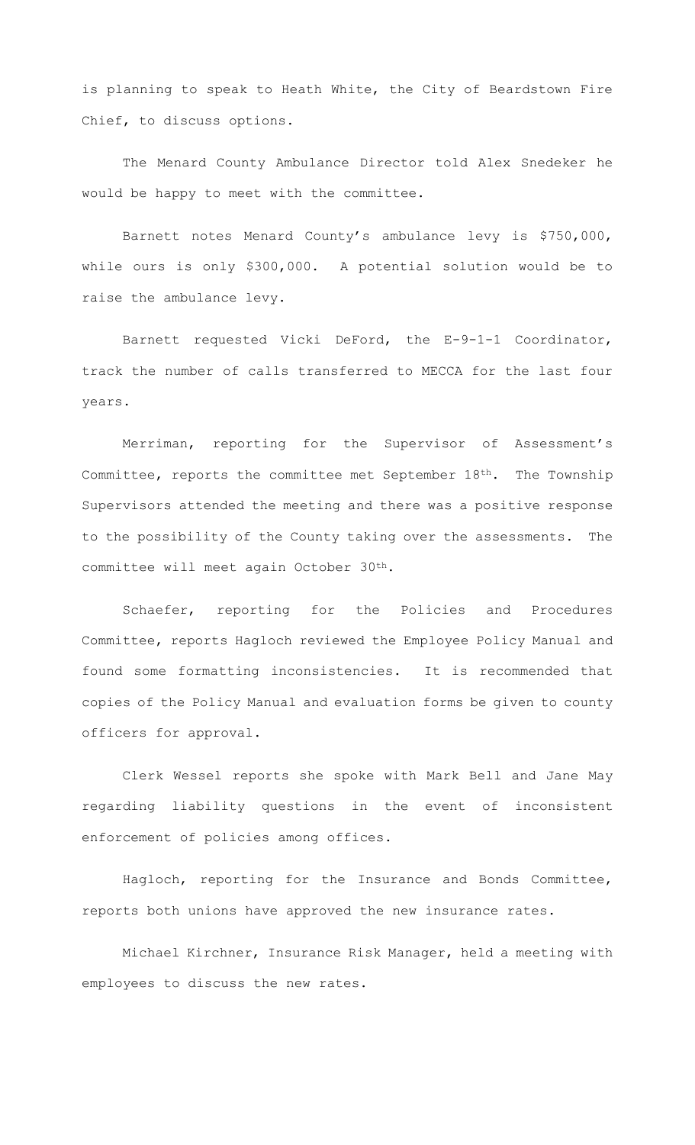is planning to speak to Heath White, the City of Beardstown Fire Chief, to discuss options.

The Menard County Ambulance Director told Alex Snedeker he would be happy to meet with the committee.

Barnett notes Menard County's ambulance levy is \$750,000, while ours is only \$300,000. A potential solution would be to raise the ambulance levy.

Barnett requested Vicki DeFord, the E-9-1-1 Coordinator, track the number of calls transferred to MECCA for the last four years.

Merriman, reporting for the Supervisor of Assessment's Committee, reports the committee met September 18th. The Township Supervisors attended the meeting and there was a positive response to the possibility of the County taking over the assessments. The committee will meet again October 30th.

Schaefer, reporting for the Policies and Procedures Committee, reports Hagloch reviewed the Employee Policy Manual and found some formatting inconsistencies. It is recommended that copies of the Policy Manual and evaluation forms be given to county officers for approval.

Clerk Wessel reports she spoke with Mark Bell and Jane May regarding liability questions in the event of inconsistent enforcement of policies among offices.

Hagloch, reporting for the Insurance and Bonds Committee, reports both unions have approved the new insurance rates.

Michael Kirchner, Insurance Risk Manager, held a meeting with employees to discuss the new rates.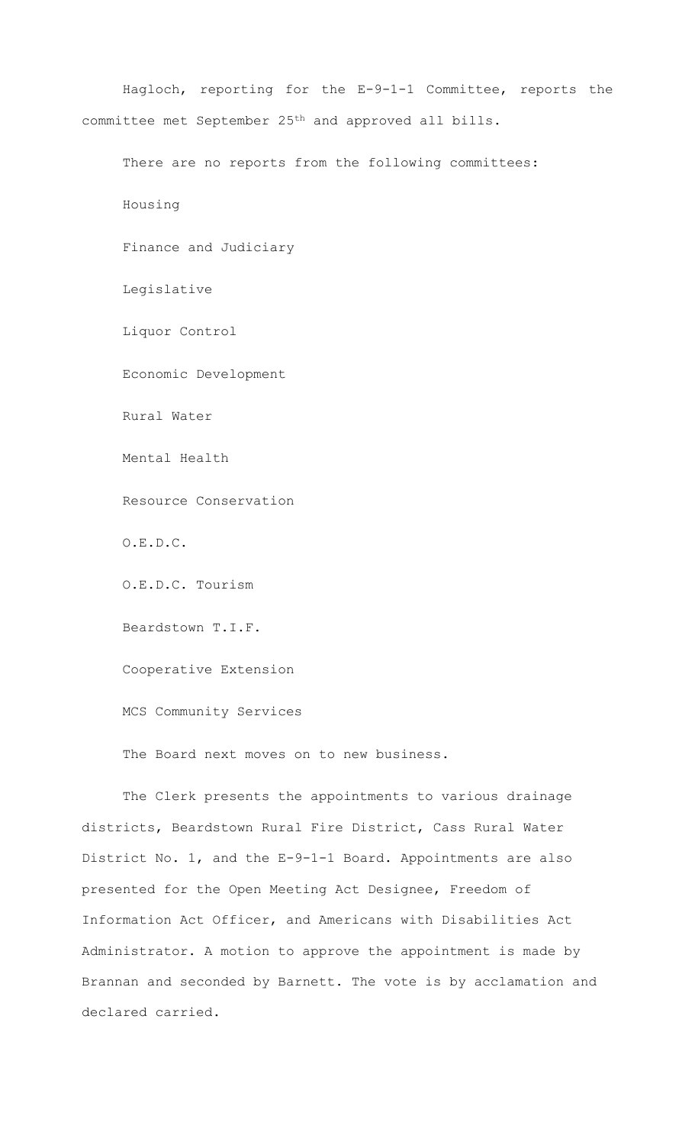Hagloch, reporting for the E-9-1-1 Committee, reports the committee met September 25th and approved all bills.

There are no reports from the following committees:

Housing

Finance and Judiciary

Legislative

Liquor Control

Economic Development

Rural Water

Mental Health

Resource Conservation

O.E.D.C.

O.E.D.C. Tourism

Beardstown T.I.F.

Cooperative Extension

MCS Community Services

The Board next moves on to new business.

The Clerk presents the appointments to various drainage districts, Beardstown Rural Fire District, Cass Rural Water District No. 1, and the E-9-1-1 Board. Appointments are also presented for the Open Meeting Act Designee, Freedom of Information Act Officer, and Americans with Disabilities Act Administrator. A motion to approve the appointment is made by Brannan and seconded by Barnett. The vote is by acclamation and declared carried.